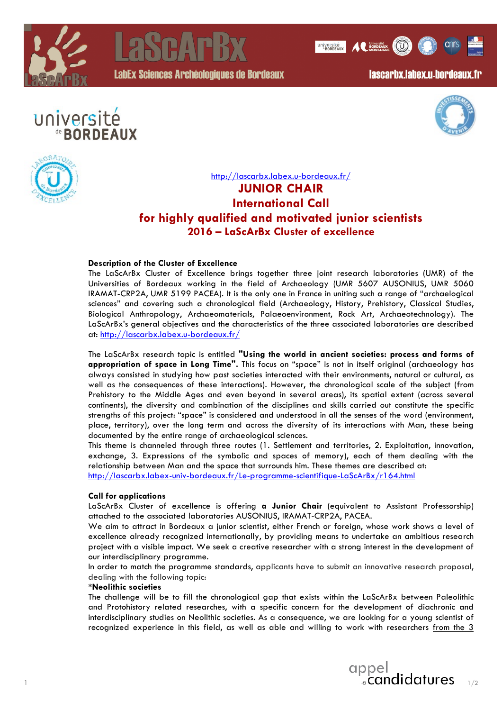



LabEx Sciences Archéologiques de Bordeaux

lascarbx.labex.u-bordeaux.fr

UNIVERSITÉ A CUNIVERSITÉ A CONTRACTE

# université de **BORDEAUX**





## http://lascarbx.labex.u-bordeaux.fr/ **JUNIOR CHAIR International Call for highly qualified and motivated junior scientists 2016 – LaScArBx Cluster of excellence**

### **Description of the Cluster of Excellence**

The LaScArBx Cluster of Excellence brings together three joint research laboratories (UMR) of the Universities of Bordeaux working in the field of Archaeology (UMR 5607 AUSONIUS, UMR 5060 IRAMAT-CRP2A, UMR 5199 PACEA). It is the only one in France in uniting such a range of "archaelogical sciences" and covering such a chronological field (Archaeology, History, Prehistory, Classical Studies, Biological Anthropology, Archaeomaterials, Palaeoenvironment, Rock Art, Archaeotechnology). The LaScArBx's general objectives and the characteristics of the three associated laboratories are described at: http://lascarbx.labex.u-bordeaux.fr/

The LaScArBx research topic is entitled **"Using the world in ancient societies: process and forms of appropriation of space in Long Time".** This focus on "space" is not in itself original (archaeology has always consisted in studying how past societies interacted with their environments, natural or cultural, as well as the consequences of these interactions). However, the chronological scale of the subject (from Prehistory to the Middle Ages and even beyond in several areas), its spatial extent (across several continents), the diversity and combination of the disciplines and skills carried out constitute the specific strengths of this project: "space" is considered and understood in all the senses of the word (environment, place, territory), over the long term and across the diversity of its interactions with Man, these being documented by the entire range of archaeological sciences.

This theme is channeled through three routes (1. Settlement and territories, 2. Exploitation, innovation, exchange, 3. Expressions of the symbolic and spaces of memory), each of them dealing with the relationship between Man and the space that surrounds him. These themes are described at: http://lascarbx.labex-univ-bordeaux.fr/Le-programme-scientifique-LaScArBx/r164.html

#### **Call for applications**

LaScArBx Cluster of excellence is offering **a Junior Chair** (equivalent to Assistant Professorship) attached to the associated laboratories AUSONIUS, IRAMAT-CRP2A, PACEA.

We aim to attract in Bordeaux a junior scientist, either French or foreign, whose work shows a level of excellence already recognized internationally, by providing means to undertake an ambitious research project with a visible impact. We seek a creative researcher with a strong interest in the development of our interdisciplinary programme.

In order to match the programme standards, applicants have to submit an innovative research proposal, dealing with the following topic:

#### **\*Neolithic societies**

The challenge will be to fill the chronological gap that exists within the LaScArBx between Paleolithic and Protohistory related researches, with a specific concern for the development of diachronic and interdisciplinary studies on Neolithic societies. As a consequence, we are looking for a young scientist of recognized experience in this field, as well as able and willing to work with researchers from the 3